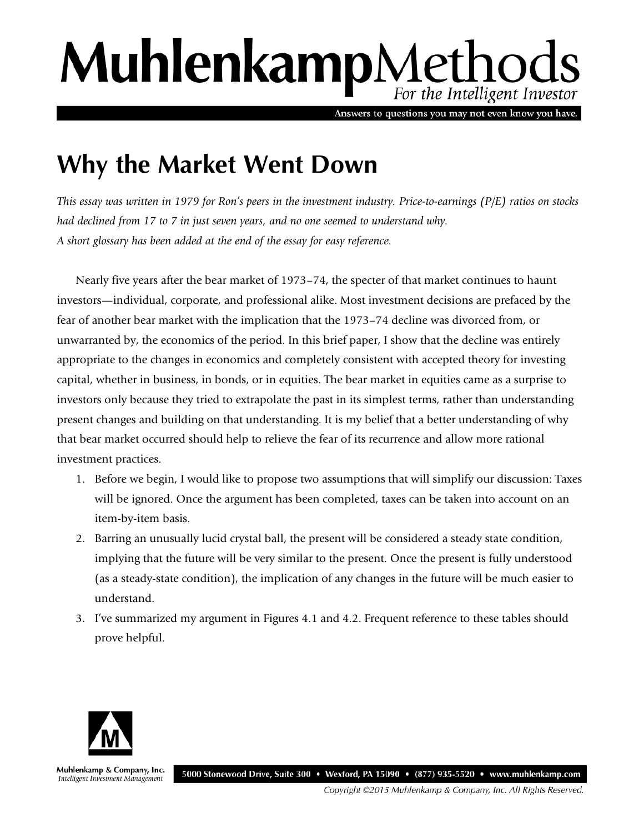# MuhlenkampMethods For the Intelligent Investor

Answers to questions you may not even know you have.

# **Why the Market Went Down**

*This essay was written in 1979 for Ron's peers in the investment industry. Price-to-earnings (P/E) ratios on stocks had declined from 17 to 7 in just seven years, and no one seemed to understand why. A short glossary has been added at the end of the essay for easy reference.* 

Nearly five years after the bear market of 1973–74, the specter of that market continues to haunt investors—individual, corporate, and professional alike. Most investment decisions are prefaced by the fear of another bear market with the implication that the 1973–74 decline was divorced from, or unwarranted by, the economics of the period. In this brief paper, I show that the decline was entirely appropriate to the changes in economics and completely consistent with accepted theory for investing capital, whether in business, in bonds, or in equities. The bear market in equities came as a surprise to investors only because they tried to extrapolate the past in its simplest terms, rather than understanding present changes and building on that understanding. It is my belief that a better understanding of why that bear market occurred should help to relieve the fear of its recurrence and allow more rational investment practices.

- 1. Before we begin, I would like to propose two assumptions that will simplify our discussion: Taxes will be ignored. Once the argument has been completed, taxes can be taken into account on an item-by-item basis.
- 2. Barring an unusually lucid crystal ball, the present will be considered a steady state condition, implying that the future will be very similar to the present. Once the present is fully understood (as a steady-state condition), the implication of any changes in the future will be much easier to understand.
- 3. I've summarized my argument in Figures 4.1 and 4.2. Frequent reference to these tables should prove helpful.



Muhlenkamp & Company, Inc. Intelligent Investment Management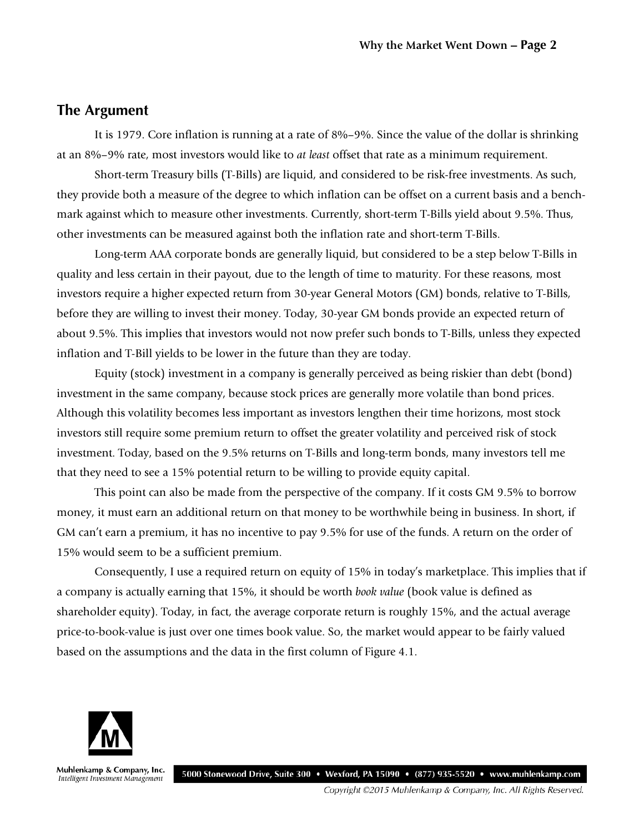#### **The Argument**

It is 1979. Core inflation is running at a rate of 8%–9%. Since the value of the dollar is shrinking at an 8%–9% rate, most investors would like to *at least* offset that rate as a minimum requirement.

Short-term Treasury bills (T-Bills) are liquid, and considered to be risk-free investments. As such, they provide both a measure of the degree to which inflation can be offset on a current basis and a benchmark against which to measure other investments. Currently, short-term T-Bills yield about 9.5%. Thus, other investments can be measured against both the inflation rate and short-term T-Bills.

Long-term AAA corporate bonds are generally liquid, but considered to be a step below T-Bills in quality and less certain in their payout, due to the length of time to maturity. For these reasons, most investors require a higher expected return from 30-year General Motors (GM) bonds, relative to T-Bills, before they are willing to invest their money. Today, 30-year GM bonds provide an expected return of about 9.5%. This implies that investors would not now prefer such bonds to T-Bills, unless they expected inflation and T-Bill yields to be lower in the future than they are today.

Equity (stock) investment in a company is generally perceived as being riskier than debt (bond) investment in the same company, because stock prices are generally more volatile than bond prices. Although this volatility becomes less important as investors lengthen their time horizons, most stock investors still require some premium return to offset the greater volatility and perceived risk of stock investment. Today, based on the 9.5% returns on T-Bills and long-term bonds, many investors tell me that they need to see a 15% potential return to be willing to provide equity capital.

This point can also be made from the perspective of the company. If it costs GM 9.5% to borrow money, it must earn an additional return on that money to be worthwhile being in business. In short, if GM can't earn a premium, it has no incentive to pay 9.5% for use of the funds. A return on the order of 15% would seem to be a sufficient premium.

Consequently, I use a required return on equity of 15% in today's marketplace. This implies that if a company is actually earning that 15%, it should be worth *book value* (book value is defined as shareholder equity). Today, in fact, the average corporate return is roughly 15%, and the actual average price-to-book-value is just over one times book value. So, the market would appear to be fairly valued based on the assumptions and the data in the first column of Figure 4.1.



Muhlenkamp & Company, Inc. 5000 Stonewood Drive, Suite 300 · Wexford, PA 15090 · (877) 935-5520 · www.muhlenkamp.com Intelligent Investment Management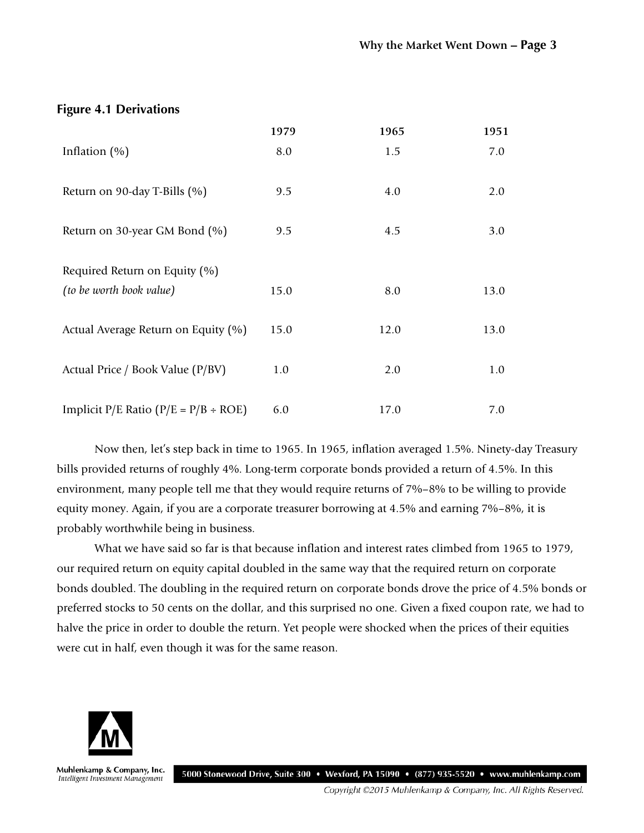|                                               | 1979 | 1965 | 1951 |
|-----------------------------------------------|------|------|------|
| Inflation $(\% )$                             | 8.0  | 1.5  | 7.0  |
| Return on 90-day T-Bills (%)                  | 9.5  | 4.0  | 2.0  |
| Return on 30-year GM Bond (%)                 | 9.5  | 4.5  | 3.0  |
| Required Return on Equity (%)                 |      |      |      |
| (to be worth book value)                      | 15.0 | 8.0  | 13.0 |
| Actual Average Return on Equity (%)           | 15.0 | 12.0 | 13.0 |
| Actual Price / Book Value (P/BV)              | 1.0  | 2.0  | 1.0  |
| Implicit $P/E$ Ratio ( $P/E = P/B \div ROE$ ) | 6.0  | 17.0 | 7.0  |

**Figure 4.1 Derivations**

Now then, let's step back in time to 1965. In 1965, inflation averaged 1.5%. Ninety-day Treasury bills provided returns of roughly 4%. Long-term corporate bonds provided a return of 4.5%. In this environment, many people tell me that they would require returns of 7%–8% to be willing to provide equity money. Again, if you are a corporate treasurer borrowing at 4.5% and earning 7%–8%, it is probably worthwhile being in business.

What we have said so far is that because inflation and interest rates climbed from 1965 to 1979, our required return on equity capital doubled in the same way that the required return on corporate bonds doubled. The doubling in the required return on corporate bonds drove the price of 4.5% bonds or preferred stocks to 50 cents on the dollar, and this surprised no one. Given a fixed coupon rate, we had to halve the price in order to double the return. Yet people were shocked when the prices of their equities were cut in half, even though it was for the same reason.



Muhlenkamp & Company, Inc. 5000 Stonewood Drive, Suite 300 • Wexford, PA 15090 • (877) 935-5520 • www.muhlenkamp.com Intelligent Investment Management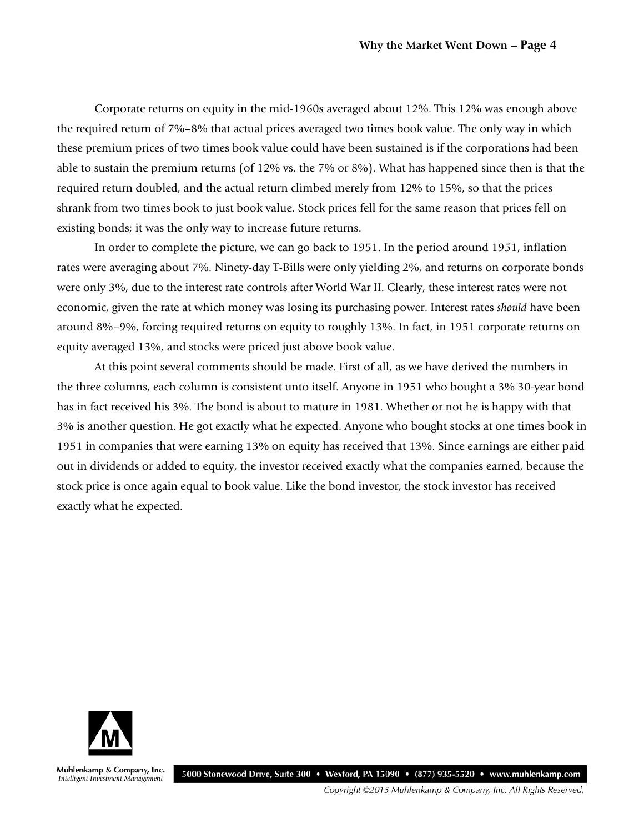Corporate returns on equity in the mid-1960s averaged about 12%. This 12% was enough above the required return of 7%–8% that actual prices averaged two times book value. The only way in which these premium prices of two times book value could have been sustained is if the corporations had been able to sustain the premium returns (of 12% vs. the 7% or 8%). What has happened since then is that the required return doubled, and the actual return climbed merely from 12% to 15%, so that the prices shrank from two times book to just book value. Stock prices fell for the same reason that prices fell on existing bonds; it was the only way to increase future returns.

In order to complete the picture, we can go back to 1951. In the period around 1951, inflation rates were averaging about 7%. Ninety-day T-Bills were only yielding 2%, and returns on corporate bonds were only 3%, due to the interest rate controls after World War II. Clearly, these interest rates were not economic, given the rate at which money was losing its purchasing power. Interest rates *should* have been around 8%–9%, forcing required returns on equity to roughly 13%. In fact, in 1951 corporate returns on equity averaged 13%, and stocks were priced just above book value.

At this point several comments should be made. First of all, as we have derived the numbers in the three columns, each column is consistent unto itself. Anyone in 1951 who bought a 3% 30-year bond has in fact received his 3%. The bond is about to mature in 1981. Whether or not he is happy with that 3% is another question. He got exactly what he expected. Anyone who bought stocks at one times book in 1951 in companies that were earning 13% on equity has received that 13%. Since earnings are either paid out in dividends or added to equity, the investor received exactly what the companies earned, because the stock price is once again equal to book value. Like the bond investor, the stock investor has received exactly what he expected.



Muhlenkamp & Company, Inc. Intelligent Investment Management

5000 Stonewood Drive, Suite 300 • Wexford, PA 15090 • (877) 935-5520 • www.muhlenkamp.com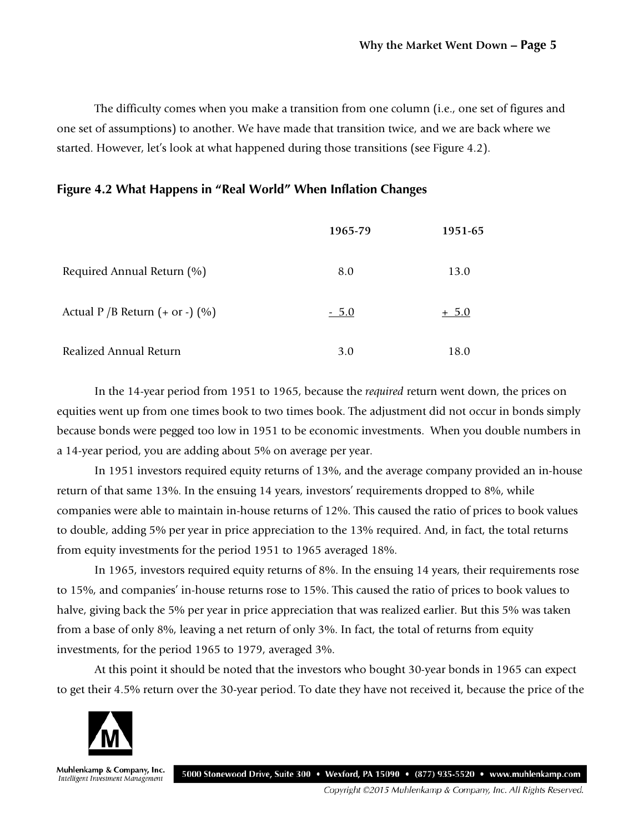The difficulty comes when you make a transition from one column (i.e., one set of figures and one set of assumptions) to another. We have made that transition twice, and we are back where we started. However, let's look at what happened during those transitions (see Figure 4.2).

#### **Figure 4.2 What Happens in "Real World" When Inflation Changes**

|                                         | 1965-79 | 1951-65 |
|-----------------------------------------|---------|---------|
| Required Annual Return (%)              | 8.0     | 13.0    |
| Actual P /B Return $(+$ or $-$ ) $(\%)$ | $-5.0$  | $+5.0$  |
| Realized Annual Return                  | 3.0     | 18.0    |

In the 14-year period from 1951 to 1965, because the *required* return went down, the prices on equities went up from one times book to two times book. The adjustment did not occur in bonds simply because bonds were pegged too low in 1951 to be economic investments. When you double numbers in a 14-year period, you are adding about 5% on average per year.

In 1951 investors required equity returns of 13%, and the average company provided an in-house return of that same 13%. In the ensuing 14 years, investors' requirements dropped to 8%, while companies were able to maintain in-house returns of 12%. This caused the ratio of prices to book values to double, adding 5% per year in price appreciation to the 13% required. And, in fact, the total returns from equity investments for the period 1951 to 1965 averaged 18%.

In 1965, investors required equity returns of 8%. In the ensuing 14 years, their requirements rose to 15%, and companies' in-house returns rose to 15%. This caused the ratio of prices to book values to halve, giving back the 5% per year in price appreciation that was realized earlier. But this 5% was taken from a base of only 8%, leaving a net return of only 3%. In fact, the total of returns from equity investments, for the period 1965 to 1979, averaged 3%.

At this point it should be noted that the investors who bought 30-year bonds in 1965 can expect to get their 4.5% return over the 30-year period. To date they have not received it, because the price of the



Muhlenkamp & Company, Inc. 5000 Stonewood Drive, Suite 300 • Wexford, PA 15090 • (877) 935-5520 • www.muhlenkamp.com Intelligent Investment Management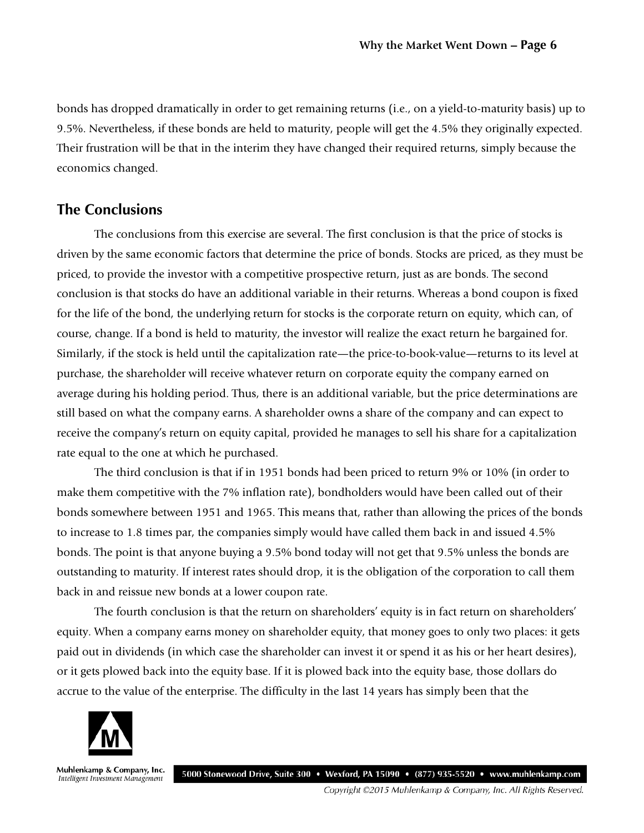bonds has dropped dramatically in order to get remaining returns (i.e., on a yield-to-maturity basis) up to 9.5%. Nevertheless, if these bonds are held to maturity, people will get the 4.5% they originally expected. Their frustration will be that in the interim they have changed their required returns, simply because the economics changed.

#### **The Conclusions**

The conclusions from this exercise are several. The first conclusion is that the price of stocks is driven by the same economic factors that determine the price of bonds. Stocks are priced, as they must be priced, to provide the investor with a competitive prospective return, just as are bonds. The second conclusion is that stocks do have an additional variable in their returns. Whereas a bond coupon is fixed for the life of the bond, the underlying return for stocks is the corporate return on equity, which can, of course, change. If a bond is held to maturity, the investor will realize the exact return he bargained for. Similarly, if the stock is held until the capitalization rate—the price-to-book-value—returns to its level at purchase, the shareholder will receive whatever return on corporate equity the company earned on average during his holding period. Thus, there is an additional variable, but the price determinations are still based on what the company earns. A shareholder owns a share of the company and can expect to receive the company's return on equity capital, provided he manages to sell his share for a capitalization rate equal to the one at which he purchased.

The third conclusion is that if in 1951 bonds had been priced to return 9% or 10% (in order to make them competitive with the 7% inflation rate), bondholders would have been called out of their bonds somewhere between 1951 and 1965. This means that, rather than allowing the prices of the bonds to increase to 1.8 times par, the companies simply would have called them back in and issued 4.5% bonds. The point is that anyone buying a 9.5% bond today will not get that 9.5% unless the bonds are outstanding to maturity. If interest rates should drop, it is the obligation of the corporation to call them back in and reissue new bonds at a lower coupon rate.

The fourth conclusion is that the return on shareholders' equity is in fact return on shareholders' equity. When a company earns money on shareholder equity, that money goes to only two places: it gets paid out in dividends (in which case the shareholder can invest it or spend it as his or her heart desires), or it gets plowed back into the equity base. If it is plowed back into the equity base, those dollars do accrue to the value of the enterprise. The difficulty in the last 14 years has simply been that the



Muhlenkamp & Company, Inc. 5000 Stonewood Drive, Suite 300 • Wexford, PA 15090 • (877) 935-5520 • www.muhlenkamp.com Intelligent Investment Management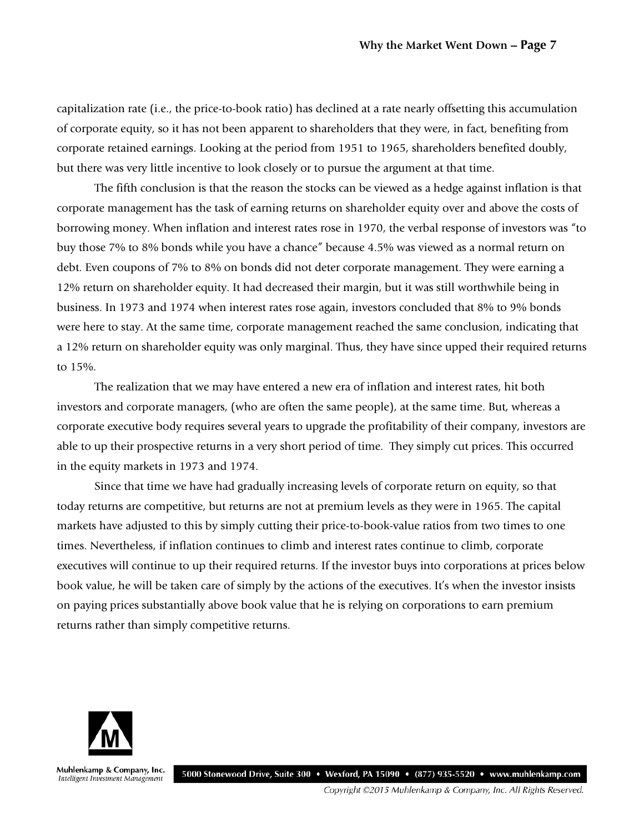capitalization rate (i.e., the price-to-book ratio) has declined at a rate nearly offsetting this accumulation of corporate equity, so it has not been apparent to shareholders that they were, in fact, benefiting from corporate retained earnings. Looking at the period from 1951 to 1965, shareholders benefited doubly, but there was very little incentive to look closely or to pursue the argument at that time.

The fifth conclusion is that the reason the stocks can be viewed as a hedge against inflation is that corporate management has the task of earning returns on shareholder equity over and above the costs of borrowing money. When inflation and interest rates rose in 1970, the verbal response of investors was "to buy those 7% to 8% bonds while you have a chance" because 4.5% was viewed as a normal return on debt. Even coupons of 7% to 8% on bonds did not deter corporate management. They were earning a 12% return on shareholder equity. It had decreased their margin, but it was still worthwhile being in business. In 1973 and 1974 when interest rates rose again, investors concluded that 8% to 9% bonds were here to stay. At the same time, corporate management reached the same conclusion, indicating that a 12% return on shareholder equity was only marginal. Thus, they have since upped their required returns to 15%.

The realization that we may have entered a new era of inflation and interest rates, hit both investors and corporate managers, (who are often the same people), at the same time. But, whereas a corporate executive body requires several years to upgrade the profitability of their company, investors are able to up their prospective returns in a very short period of time. They simply cut prices. This occurred in the equity markets in 1973 and 1974.

Since that time we have had gradually increasing levels of corporate return on equity, so that today returns are competitive, but returns are not at premium levels as they were in 1965. The capital markets have adjusted to this by simply cutting their price-to-book-value ratios from two times to one times. Nevertheless, if inflation continues to climb and interest rates continue to climb, corporate executives will continue to up their required returns. If the investor buys into corporations at prices below book value, he will be taken care of simply by the actions of the executives. It's when the investor insists on paying prices substantially above book value that he is relying on corporations to earn premium returns rather than simply competitive returns.



Muhlenkamp & Company, Inc. Intelligent Investment Management

5000 Stonewood Drive, Suite 300 • Wexford, PA 15090 • (877) 935-5520 • www.muhlenkamp.com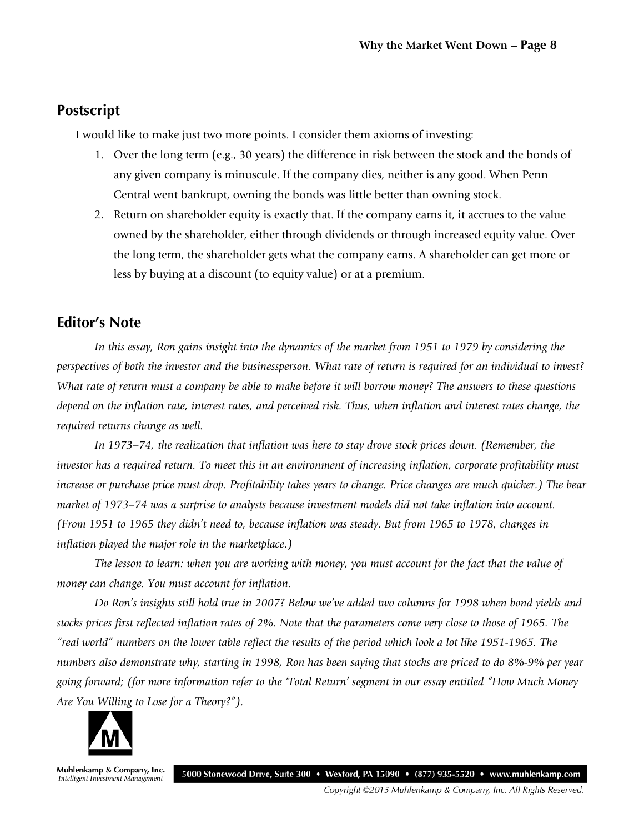#### **Postscript**

I would like to make just two more points. I consider them axioms of investing:

- 1. Over the long term (e.g., 30 years) the difference in risk between the stock and the bonds of any given company is minuscule. If the company dies, neither is any good. When Penn Central went bankrupt, owning the bonds was little better than owning stock.
- 2. Return on shareholder equity is exactly that. If the company earns it, it accrues to the value owned by the shareholder, either through dividends or through increased equity value. Over the long term, the shareholder gets what the company earns. A shareholder can get more or less by buying at a discount (to equity value) or at a premium.

#### **Editor's Note**

*In this essay, Ron gains insight into the dynamics of the market from 1951 to 1979 by considering the perspectives of both the investor and the businessperson. What rate of return is required for an individual to invest? What rate of return must a company be able to make before it will borrow money? The answers to these questions depend on the inflation rate, interest rates, and perceived risk. Thus, when inflation and interest rates change, the required returns change as well.* 

*In 1973–74, the realization that inflation was here to stay drove stock prices down. (Remember, the investor has a required return. To meet this in an environment of increasing inflation, corporate profitability must increase or purchase price must drop. Profitability takes years to change. Price changes are much quicker.) The bear market of 1973–74 was a surprise to analysts because investment models did not take inflation into account. (From 1951 to 1965 they didn't need to, because inflation was steady. But from 1965 to 1978, changes in inflation played the major role in the marketplace.)* 

*The lesson to learn: when you are working with money, you must account for the fact that the value of money can change. You must account for inflation.* 

*Do Ron's insights still hold true in 2007? Below we've added two columns for 1998 when bond yields and stocks prices first reflected inflation rates of 2%. Note that the parameters come very close to those of 1965. The "real world" numbers on the lower table reflect the results of the period which look a lot like 1951-1965. The numbers also demonstrate why, starting in 1998, Ron has been saying that stocks are priced to do 8%-9% per year going forward; (for more information refer to the 'Total Return' segment in our essay entitled "How Much Money Are You Willing to Lose for a Theory?").*



Muhlenkamp & Company, Inc. 5000 Stonewood Drive, Suite 300 • Wexford, PA 15090 • (877) 935-5520 • www.muhlenkamp.com Intelligent Investment Management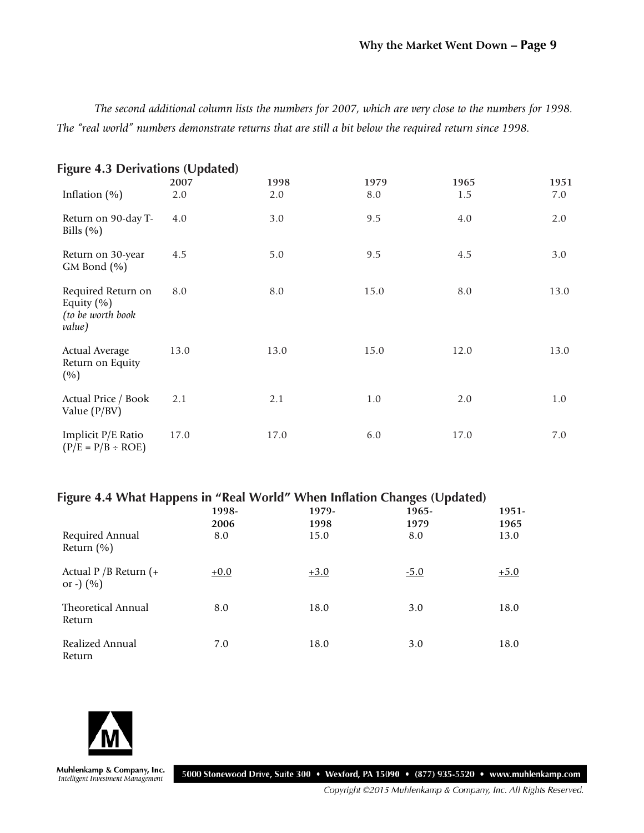*The second additional column lists the numbers for 2007, which are very close to the numbers for 1998. The "real world" numbers demonstrate returns that are still a bit below the required return since 1998.*

| <b>Figure 4.3 Derivations (Updated)</b>                             |      |      |      |      |      |
|---------------------------------------------------------------------|------|------|------|------|------|
|                                                                     | 2007 | 1998 | 1979 | 1965 | 1951 |
| Inflation $(\% )$                                                   | 2.0  | 2.0  | 8.0  | 1.5  | 7.0  |
| Return on 90-day T-<br>Bills $(\% )$                                | 4.0  | 3.0  | 9.5  | 4.0  | 2.0  |
| Return on 30-year<br>GM Bond (%)                                    | 4.5  | 5.0  | 9.5  | 4.5  | 3.0  |
| Required Return on<br>Equity $(\% )$<br>(to be worth book<br>value) | 8.0  | 8.0  | 15.0 | 8.0  | 13.0 |
| <b>Actual Average</b><br>Return on Equity<br>(%)                    | 13.0 | 13.0 | 15.0 | 12.0 | 13.0 |
| Actual Price / Book<br>Value $(P/BV)$                               | 2.1  | 2.1  | 1.0  | 2.0  | 1.0  |
| Implicit P/E Ratio<br>$(P/E = P/B \div ROE)$                        | 17.0 | 17.0 | 6.0  | 17.0 | 7.0  |

#### **Figure 4.4 What Happens in "Real World" When Inflation Changes (Updated)**

|                                        | 1998-<br>2006 | 1979-<br>1998 | 1965-<br>1979 | 1951-<br>1965 |
|----------------------------------------|---------------|---------------|---------------|---------------|
| Required Annual<br>Return $(\% )$      | 8.0           | 15.0          | 8.0           | 13.0          |
| Actual $P/B$ Return (+<br>or -) $(% )$ | $+0.0$        | $+3.0$        | $-5.0$        | $+5.0$        |
| Theoretical Annual<br>Return           | 8.0           | 18.0          | 3.0           | 18.0          |
| Realized Annual<br>Return              | 7.0           | 18.0          | 3.0           | 18.0          |



Muhlenkamp & Company, Inc.<br>Intelligent Investment Management

5000 Stonewood Drive, Suite 300 • Wexford, PA 15090 • (877) 935-5520 • www.muhlenkamp.com